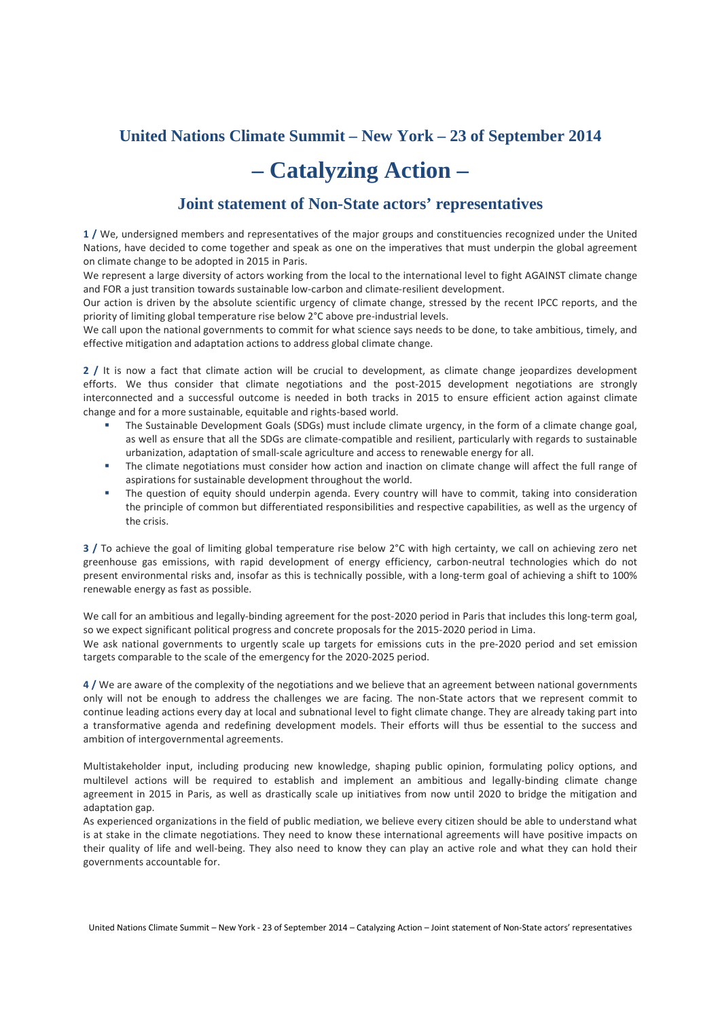## **United Nations Climate Summit – New York – 23 of September 2014**

## **– Catalyzing Action –**

## **Joint statement of Non-State actors' representatives**

**1 /** We, undersigned members and representatives of the major groups and constituencies recognized under the United Nations, have decided to come together and speak as one on the imperatives that must underpin the global agreement on climate change to be adopted in 2015 in Paris.

We represent a large diversity of actors working from the local to the international level to fight AGAINST climate change and FOR a just transition towards sustainable low-carbon and climate-resilient development.

Our action is driven by the absolute scientific urgency of climate change, stressed by the recent IPCC reports, and the priority of limiting global temperature rise below 2°C above pre-industrial levels.

We call upon the national governments to commit for what science says needs to be done, to take ambitious, timely, and effective mitigation and adaptation actions to address global climate change.

**2 /** It is now a fact that climate action will be crucial to development, as climate change jeopardizes development efforts. We thus consider that climate negotiations and the post-2015 development negotiations are strongly interconnected and a successful outcome is needed in both tracks in 2015 to ensure efficient action against climate change and for a more sustainable, equitable and rights-based world.

- The Sustainable Development Goals (SDGs) must include climate urgency, in the form of a climate change goal, as well as ensure that all the SDGs are climate-compatible and resilient, particularly with regards to sustainable urbanization, adaptation of small-scale agriculture and access to renewable energy for all.
- The climate negotiations must consider how action and inaction on climate change will affect the full range of aspirations for sustainable development throughout the world.
- The question of equity should underpin agenda. Every country will have to commit, taking into consideration the principle of common but differentiated responsibilities and respective capabilities, as well as the urgency of the crisis.

**3 /** To achieve the goal of limiting global temperature rise below 2°C with high certainty, we call on achieving zero net greenhouse gas emissions, with rapid development of energy efficiency, carbon-neutral technologies which do not present environmental risks and, insofar as this is technically possible, with a long-term goal of achieving a shift to 100% renewable energy as fast as possible.

We call for an ambitious and legally-binding agreement for the post-2020 period in Paris that includes this long-term goal, so we expect significant political progress and concrete proposals for the 2015-2020 period in Lima. We ask national governments to urgently scale up targets for emissions cuts in the pre-2020 period and set emission targets comparable to the scale of the emergency for the 2020-2025 period.

**4 /** We are aware of the complexity of the negotiations and we believe that an agreement between national governments only will not be enough to address the challenges we are facing. The non-State actors that we represent commit to continue leading actions every day at local and subnational level to fight climate change. They are already taking part into a transformative agenda and redefining development models. Their efforts will thus be essential to the success and ambition of intergovernmental agreements.

Multistakeholder input, including producing new knowledge, shaping public opinion, formulating policy options, and multilevel actions will be required to establish and implement an ambitious and legally-binding climate change agreement in 2015 in Paris, as well as drastically scale up initiatives from now until 2020 to bridge the mitigation and adaptation gap.

As experienced organizations in the field of public mediation, we believe every citizen should be able to understand what is at stake in the climate negotiations. They need to know these international agreements will have positive impacts on their quality of life and well-being. They also need to know they can play an active role and what they can hold their governments accountable for.

United Nations Climate Summit – New York - 23 of September 2014 – Catalyzing Action – Joint statement of Non-State actors' representatives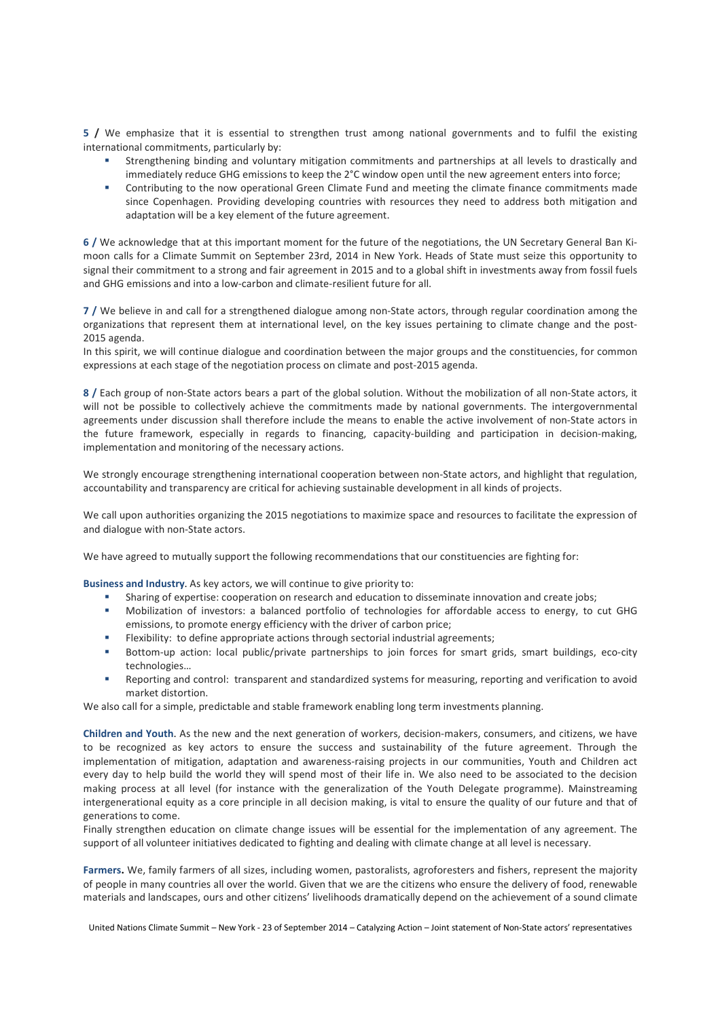**5 /** We emphasize that it is essential to strengthen trust among national governments and to fulfil the existing international commitments, particularly by:

- Strengthening binding and voluntary mitigation commitments and partnerships at all levels to drastically and immediately reduce GHG emissions to keep the 2°C window open until the new agreement enters into force;
- Contributing to the now operational Green Climate Fund and meeting the climate finance commitments made since Copenhagen. Providing developing countries with resources they need to address both mitigation and adaptation will be a key element of the future agreement.

**6 /** We acknowledge that at this important moment for the future of the negotiations, the UN Secretary General Ban Kimoon calls for a Climate Summit on September 23rd, 2014 in New York. Heads of State must seize this opportunity to signal their commitment to a strong and fair agreement in 2015 and to a global shift in investments away from fossil fuels and GHG emissions and into a low-carbon and climate-resilient future for all.

**7 /** We believe in and call for a strengthened dialogue among non-State actors, through regular coordination among the organizations that represent them at international level, on the key issues pertaining to climate change and the post-2015 agenda.

In this spirit, we will continue dialogue and coordination between the major groups and the constituencies, for common expressions at each stage of the negotiation process on climate and post-2015 agenda.

**8 /** Each group of non-State actors bears a part of the global solution. Without the mobilization of all non-State actors, it will not be possible to collectively achieve the commitments made by national governments. The intergovernmental agreements under discussion shall therefore include the means to enable the active involvement of non-State actors in the future framework, especially in regards to financing, capacity-building and participation in decision-making, implementation and monitoring of the necessary actions.

We strongly encourage strengthening international cooperation between non-State actors, and highlight that regulation, accountability and transparency are critical for achieving sustainable development in all kinds of projects.

We call upon authorities organizing the 2015 negotiations to maximize space and resources to facilitate the expression of and dialogue with non-State actors.

We have agreed to mutually support the following recommendations that our constituencies are fighting for:

**Business and Industry**. As key actors, we will continue to give priority to:

- Sharing of expertise: cooperation on research and education to disseminate innovation and create jobs;
- Mobilization of investors: a balanced portfolio of technologies for affordable access to energy, to cut GHG emissions, to promote energy efficiency with the driver of carbon price;
- Flexibility: to define appropriate actions through sectorial industrial agreements;
- Bottom-up action: local public/private partnerships to join forces for smart grids, smart buildings, eco-city technologies…
- Reporting and control: transparent and standardized systems for measuring, reporting and verification to avoid market distortion.

We also call for a simple, predictable and stable framework enabling long term investments planning.

**Children and Youth**. As the new and the next generation of workers, decision-makers, consumers, and citizens, we have to be recognized as key actors to ensure the success and sustainability of the future agreement. Through the implementation of mitigation, adaptation and awareness-raising projects in our communities, Youth and Children act every day to help build the world they will spend most of their life in. We also need to be associated to the decision making process at all level (for instance with the generalization of the Youth Delegate programme). Mainstreaming intergenerational equity as a core principle in all decision making, is vital to ensure the quality of our future and that of generations to come.

Finally strengthen education on climate change issues will be essential for the implementation of any agreement. The support of all volunteer initiatives dedicated to fighting and dealing with climate change at all level is necessary.

**Farmers.** We, family farmers of all sizes, including women, pastoralists, agroforesters and fishers, represent the majority of people in many countries all over the world. Given that we are the citizens who ensure the delivery of food, renewable materials and landscapes, ours and other citizens' livelihoods dramatically depend on the achievement of a sound climate

United Nations Climate Summit – New York - 23 of September 2014 – Catalyzing Action – Joint statement of Non-State actors' representatives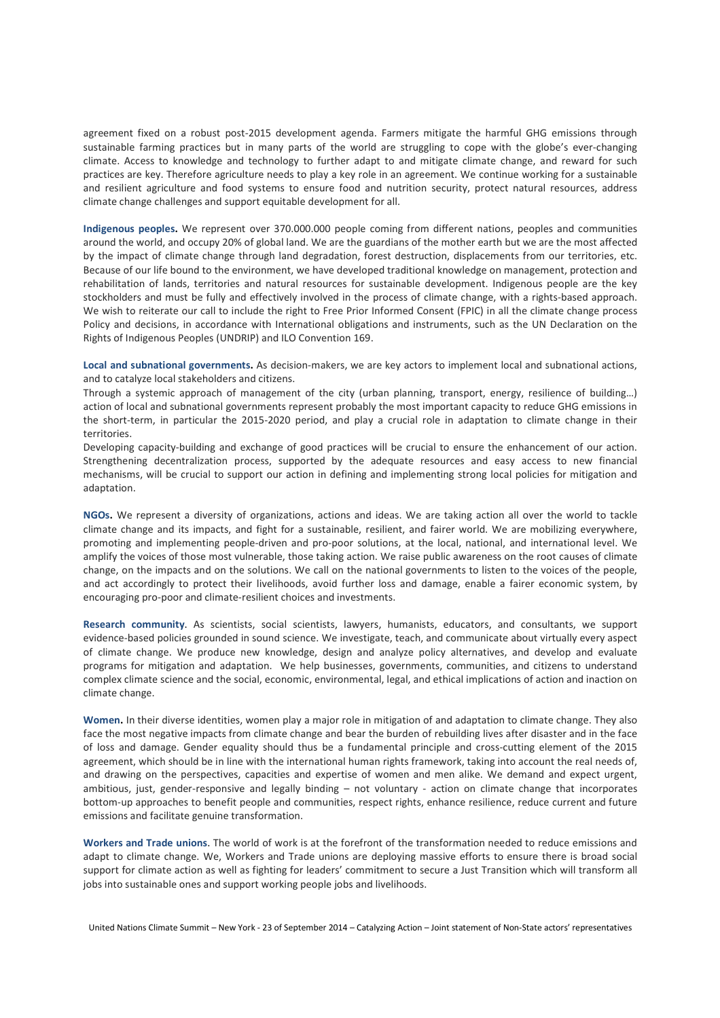agreement fixed on a robust post-2015 development agenda. Farmers mitigate the harmful GHG emissions through sustainable farming practices but in many parts of the world are struggling to cope with the globe's ever-changing climate. Access to knowledge and technology to further adapt to and mitigate climate change, and reward for such practices are key. Therefore agriculture needs to play a key role in an agreement. We continue working for a sustainable and resilient agriculture and food systems to ensure food and nutrition security, protect natural resources, address climate change challenges and support equitable development for all.

**Indigenous peoples.** We represent over 370.000.000 people coming from different nations, peoples and communities around the world, and occupy 20% of global land. We are the guardians of the mother earth but we are the most affected by the impact of climate change through land degradation, forest destruction, displacements from our territories, etc. Because of our life bound to the environment, we have developed traditional knowledge on management, protection and rehabilitation of lands, territories and natural resources for sustainable development. Indigenous people are the key stockholders and must be fully and effectively involved in the process of climate change, with a rights-based approach. We wish to reiterate our call to include the right to Free Prior Informed Consent (FPIC) in all the climate change process Policy and decisions, in accordance with International obligations and instruments, such as the UN Declaration on the Rights of Indigenous Peoples (UNDRIP) and ILO Convention 169.

**Local and subnational governments.** As decision-makers, we are key actors to implement local and subnational actions, and to catalyze local stakeholders and citizens.

Through a systemic approach of management of the city (urban planning, transport, energy, resilience of building…) action of local and subnational governments represent probably the most important capacity to reduce GHG emissions in the short-term, in particular the 2015-2020 period, and play a crucial role in adaptation to climate change in their territories.

Developing capacity-building and exchange of good practices will be crucial to ensure the enhancement of our action. Strengthening decentralization process, supported by the adequate resources and easy access to new financial mechanisms, will be crucial to support our action in defining and implementing strong local policies for mitigation and adaptation.

**NGOs.** We represent a diversity of organizations, actions and ideas. We are taking action all over the world to tackle climate change and its impacts, and fight for a sustainable, resilient, and fairer world. We are mobilizing everywhere, promoting and implementing people-driven and pro-poor solutions, at the local, national, and international level. We amplify the voices of those most vulnerable, those taking action. We raise public awareness on the root causes of climate change, on the impacts and on the solutions. We call on the national governments to listen to the voices of the people, and act accordingly to protect their livelihoods, avoid further loss and damage, enable a fairer economic system, by encouraging pro-poor and climate-resilient choices and investments.

**Research community**. As scientists, social scientists, lawyers, humanists, educators, and consultants, we support evidence-based policies grounded in sound science. We investigate, teach, and communicate about virtually every aspect of climate change. We produce new knowledge, design and analyze policy alternatives, and develop and evaluate programs for mitigation and adaptation. We help businesses, governments, communities, and citizens to understand complex climate science and the social, economic, environmental, legal, and ethical implications of action and inaction on climate change.

**Women.** In their diverse identities, women play a major role in mitigation of and adaptation to climate change. They also face the most negative impacts from climate change and bear the burden of rebuilding lives after disaster and in the face of loss and damage. Gender equality should thus be a fundamental principle and cross-cutting element of the 2015 agreement, which should be in line with the international human rights framework, taking into account the real needs of, and drawing on the perspectives, capacities and expertise of women and men alike. We demand and expect urgent, ambitious, just, gender-responsive and legally binding – not voluntary - action on climate change that incorporates bottom-up approaches to benefit people and communities, respect rights, enhance resilience, reduce current and future emissions and facilitate genuine transformation.

**Workers and Trade unions**. The world of work is at the forefront of the transformation needed to reduce emissions and adapt to climate change. We, Workers and Trade unions are deploying massive efforts to ensure there is broad social support for climate action as well as fighting for leaders' commitment to secure a Just Transition which will transform all jobs into sustainable ones and support working people jobs and livelihoods.

United Nations Climate Summit – New York - 23 of September 2014 – Catalyzing Action – Joint statement of Non-State actors' representatives